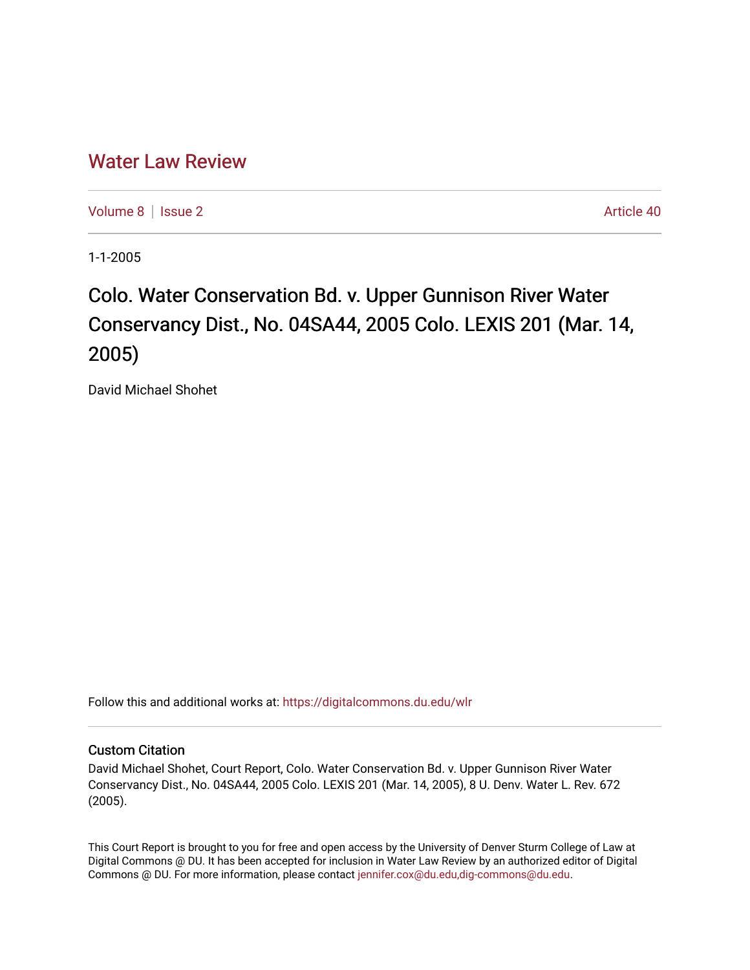# [Water Law Review](https://digitalcommons.du.edu/wlr)

[Volume 8](https://digitalcommons.du.edu/wlr/vol8) | [Issue 2](https://digitalcommons.du.edu/wlr/vol8/iss2) Article 40

1-1-2005

# Colo. Water Conservation Bd. v. Upper Gunnison River Water Conservancy Dist., No. 04SA44, 2005 Colo. LEXIS 201 (Mar. 14, 2005)

David Michael Shohet

Follow this and additional works at: [https://digitalcommons.du.edu/wlr](https://digitalcommons.du.edu/wlr?utm_source=digitalcommons.du.edu%2Fwlr%2Fvol8%2Fiss2%2F40&utm_medium=PDF&utm_campaign=PDFCoverPages) 

## Custom Citation

David Michael Shohet, Court Report, Colo. Water Conservation Bd. v. Upper Gunnison River Water Conservancy Dist., No. 04SA44, 2005 Colo. LEXIS 201 (Mar. 14, 2005), 8 U. Denv. Water L. Rev. 672 (2005).

This Court Report is brought to you for free and open access by the University of Denver Sturm College of Law at Digital Commons @ DU. It has been accepted for inclusion in Water Law Review by an authorized editor of Digital Commons @ DU. For more information, please contact [jennifer.cox@du.edu,dig-commons@du.edu.](mailto:jennifer.cox@du.edu,dig-commons@du.edu)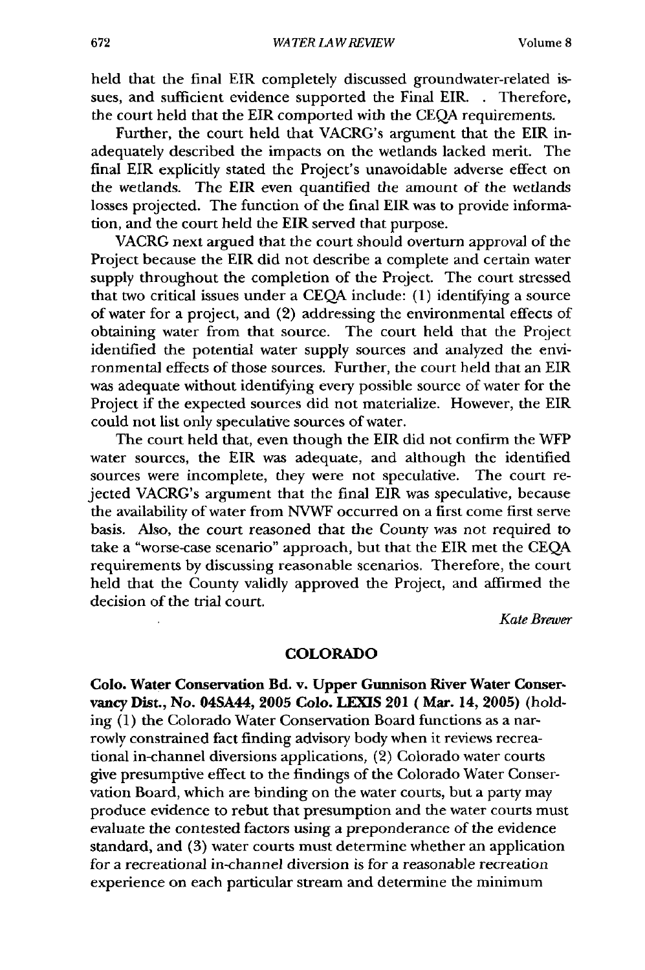held that the final EIR completely discussed groundwater-related issues, and sufficient evidence supported the Final EIR. **.** Therefore, the court held that the EIR comported with the CEQA requirements.

Further, the court held that VACRG's argument that the EIR inadequately described the impacts on the wetlands lacked merit. The final EIR explicitly stated the Project's unavoidable adverse effect on the wetlands. The EIR even quantified the amount of the wetlands losses projected. The function of the final EIR was to provide information, and the court held the EIR served that purpose.

VACRG next argued that the court should overturn approval of the Project because the EIR did not describe a complete and certain water supply throughout the completion of the Project. The court stressed that two critical issues under a CEQA include: (1) identifying a source of water for a project, and (2) addressing the environmental effects of obtaining water from that source. The court held that the Project identified the potential water supply sources and analyzed the environmental effects of those sources. Further, the court held that an EIR was adequate without identifying every possible source of water for the Project if the expected sources did not materialize. However, the EIR could not list only speculative sources of water.

The court held that, even though the EIR did not confirm the WFP water sources, the **EIR** was adequate, and although the identified sources were incomplete, they were not speculative. The court rejected VACRG's argument that the final EIR was speculative, because the availability of water from NVWF occurred on a first come first serve basis. Also, the court reasoned that the County was not required to take a "worse-case scenario" approach, but that the EIR met the CEQA requirements by discussing reasonable scenarios. Therefore, the court held that the County validly approved the Project, and affirmed the decision of the trial court.

*Kate Brewer*

#### COLORADO

**Colo.** Water Conservation **Bd.** v. Upper Gunnison River Water Conservancy Dist., No. 04SA44, 2005 Colo. LEXIS 201 ( Mar. 14, 2005) (holding (1) the Colorado Water Conservation Board functions as a narrowly constrained fact finding advisory body when it reviews recreational in-channel diversions applications, (2) Colorado water courts give presumptive effect to the findings of the Colorado Water Conservation Board, which are binding on the water courts, but a party may produce evidence to rebut that presumption and the water courts must evaluate the contested factors using a preponderance of the evidence standard, and (3) water courts must determine whether an application for a recreational in-channel diversion is for a reasonable recreation experience on each particular stream and determine the minimum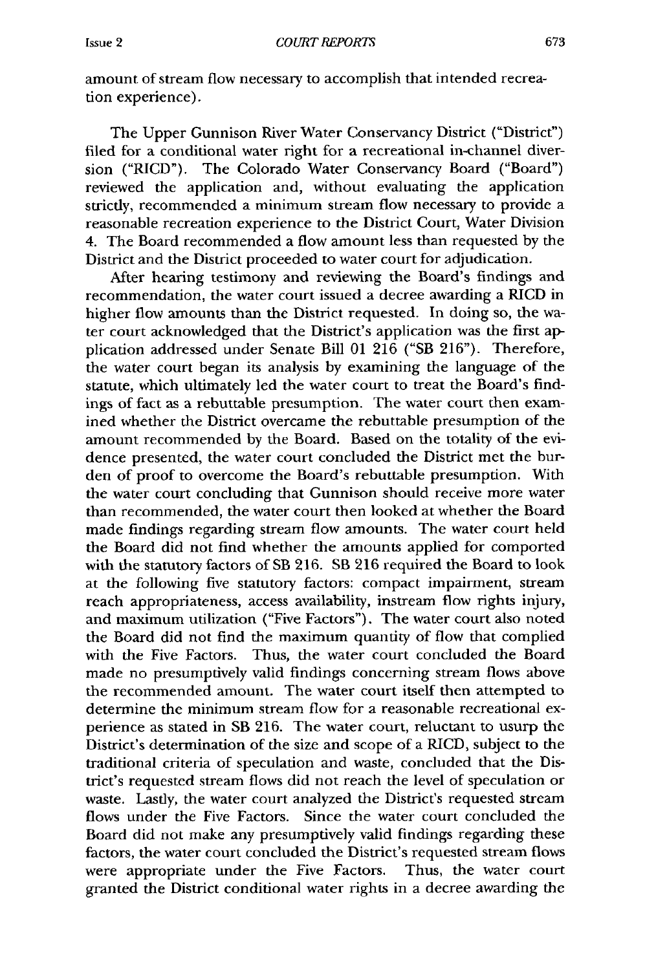amount of stream flow necessary to accomplish that intended recreation experience).

The Upper Gunnison River Water Conservancy District ("District") filed for a conditional water right for a recreational in-channel diversion ("RICD"). The Colorado Water Conservancy Board ("Board") reviewed the application and, without evaluating the application strictly, recommended a minimum stream flow necessary to provide a reasonable recreation experience to the District Court, Water Division 4. The Board recommended a flow amount less than requested by the District and the District proceeded to water court for adjudication.

After hearing testimony and reviewing the Board's findings and recommendation, the water court issued a decree awarding a RICD in higher flow amounts than the District requested. In doing so, the water court acknowledged that the District's application was the first application addressed under Senate Bill 01 216 ("SB 216"). Therefore, the water court began its analysis by examining the language of the statute, which ultimately led the water court to treat the Board's findings of fact as a rebuttable presumption. The water court then examined whether the District overcame the rebuttable presumption of the amount recommended by the Board. Based on the totality of the evidence presented, the water court concluded the District met the burden of proof to overcome the Board's rebuttable presumption. With the water court concluding that Gunnison should receive more water than recommended, the water court then looked at whether the Board made findings regarding stream flow amounts. The water court held the Board did not find whether the amounts applied for comported with the statutory factors of SB 216. SB 216 required the Board to look at the following five statutory factors: compact impairment, stream reach appropriateness, access availability, instream flow rights injury, and maximum utilization ("Five Factors"). The water court also noted the Board did not find the maximum quantity of flow that complied with the Five Factors. Thus, the water court concluded the Board made no presumptively valid findings concerning stream flows above the recommended amount. The water court itself then attempted to determine the minimum stream flow for a reasonable recreational experience as stated in SB 216. The water court, reluctant to usurp the District's determination of the size and scope of a RICD, subject to the traditional criteria of speculation and waste, concluded that the District's requested stream flows did not reach the level of speculation or waste. Lastly, the water court analyzed the District's requested stream flows under the Five Factors. Since the water court concluded the Board did not make any presumptively valid findings regarding these factors, the water court concluded the District's requested stream flows were appropriate under the Five Factors. Thus, the water court granted the District conditional water rights in a decree awarding the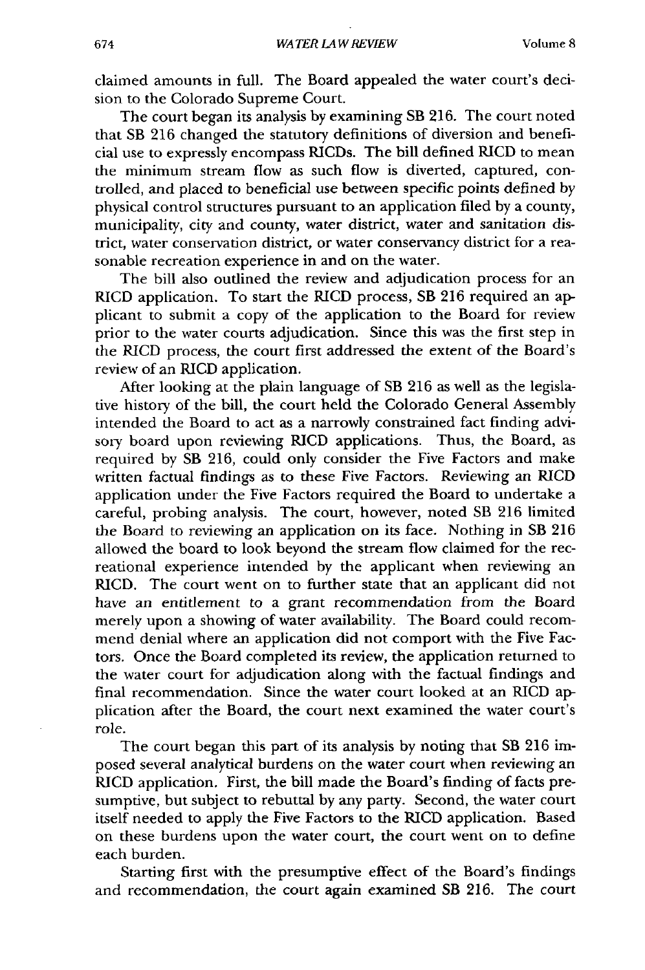claimed amounts in full. The Board appealed the water court's decision to the Colorado Supreme Court.

The court began its analysis by examining SB 216. The court noted that SB 216 changed the statutory definitions of diversion and beneficial use to expressly encompass RICDs. The bill defined RICD to mean the minimum stream flow as such flow is diverted, captured, controlled, and placed to beneficial use between specific points defined by physical control structures pursuant to an application filed by a county, municipality, city and county, water district, water and sanitation district, water conservation district, or water conservancy district for a reasonable recreation experience in and on the water.

The bill also outlined the review and adjudication process for an RICD application. To start the RICD process, SB 216 required an applicant to submit a copy of the application to the Board for review prior to the water courts adjudication. Since this was the first step in the RICD process, the court first addressed the extent of the Board's review of an RICD application.

After looking at the plain language of SB 216 as well as the legislative history of the bill, the court held the Colorado General Assembly intended the Board to act as a narrowly constrained fact finding advisory board upon reviewing RICD applications. Thus, the Board, as required by SB 216, could only consider the Five Factors and make written factual findings as to these Five Factors. Reviewing an RICD application under the Five Factors required the Board to undertake a careful, probing analysis. The court, however, noted SB 216 limited the Board to reviewing an application on its face. Nothing in SB 216 allowed the board to look beyond the stream flow claimed for the recreational experience intended by the applicant when reviewing an RICD. The court went on to further state that an applicant did not have an entitlement to a grant recommendation from the Board merely upon a showing of water availability. The Board could recommend denial where an application did not comport with the Five Factors. Once the Board completed its review, the application returned to the water court for adjudication along with the factual findings and final recommendation. Since the water court looked at an RICD application after the Board, the court next examined the water court's role.

The court began this part of its analysis by noting that SB 216 imposed several analytical burdens on the water court when reviewing an RICD application. First, the bill made the Board's finding of facts presumptive, but subject to rebuttal by any party. Second, the water court itself needed to apply the Five Factors to the RICD application. Based on these burdens upon the water court, the court went on to define each burden.

Starting first with the presumptive effect of the Board's findings and recommendation, the court again examined SB 216. The court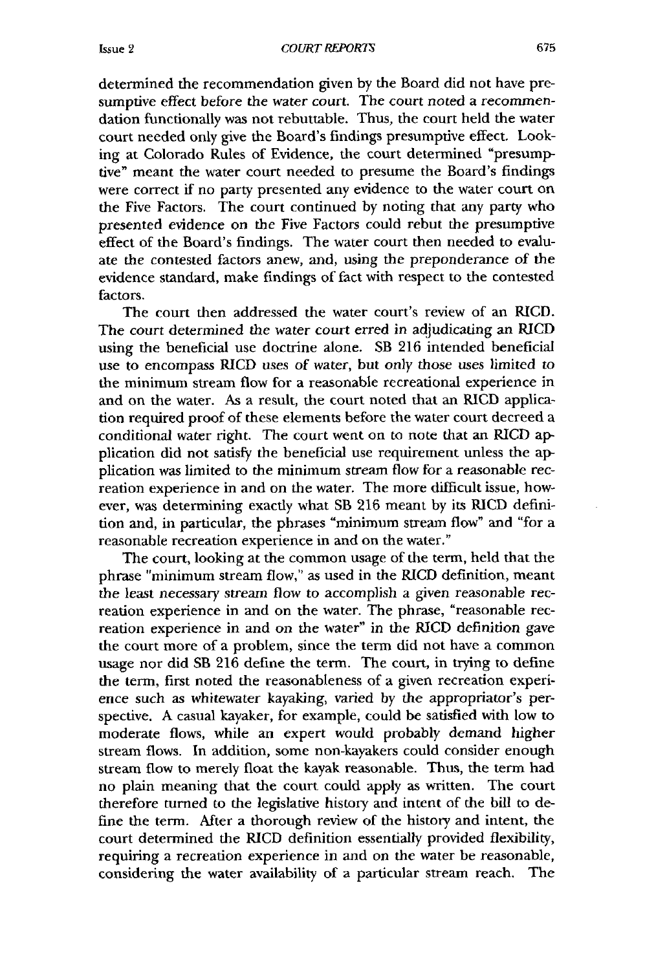*COURT REPORTS*

determined the recommendation given by the Board did not have presumptive effect before the water court. The court noted a recommendation functionally was not rebuttable. Thus, the court held the water court needed only give the Board's findings presumptive effect. Looking at Colorado Rules of Evidence, the court determined "presumptive" meant the water court needed to presume the Board's findings were correct if no party presented any evidence to the water court on the Five Factors. The court continued by noting that any party who presented evidence on the Five Factors could rebut the presumptive effect of the Board's findings. The water court then needed to evaluate the contested factors anew, and, using the preponderance of the evidence standard, make findings of fact with respect to the contested factors.

The court then addressed the water court's review of an RICD. The court determined the water court erred in adjudicating an RICD using the beneficial use doctrine alone. SB 216 intended beneficial use to encompass RICD uses of water, but only those uses limited to the minimum stream flow for a reasonable recreational experience in and on the water. As a result, the court noted that an RICD application required proof of these elements before the water court decreed a conditional water right. The court went on to note that an RICD application did not satisfy the beneficial use requirement unless the application was limited to the minimum stream flow for a reasonable recreation experience in and on the water. The more difficult issue, however, was determining exactly what SB 216 meant by its RICD definition and, in particular, the phrases "minimum stream flow" and "for a reasonable recreation experience in and on the water."

The court, looking at the common usage of the term, held that the phrase "minimum stream flow," as used in the RICD definition, meant the least necessary stream flow to accomplish a given reasonable recreation experience in and on the water. The phrase, "reasonable recreation experience in and on the water" in the RICD definition gave the court more of a problem, since the term did not have a common usage nor did SB 216 define the term. The court, in trying to define the term, first noted the reasonableness of a given recreation experience such as whitewater kayaking, varied by the appropriator's perspective. A casual kayaker, for example, could be satisfied with low to moderate flows, while an expert would probably demand higher stream flows. In addition, some non-kayakers could consider enough stream flow to merely float the kayak reasonable. Thus, the term had no plain meaning that the court could apply as written. The court therefore turned to the legislative history and intent of the bill to define the term. After a thorough review of the history and intent, the court determined the RICD definition essentially provided flexibility, requiring a recreation experience in and on the water be reasonable, considering the water availability of a particular stream reach. The